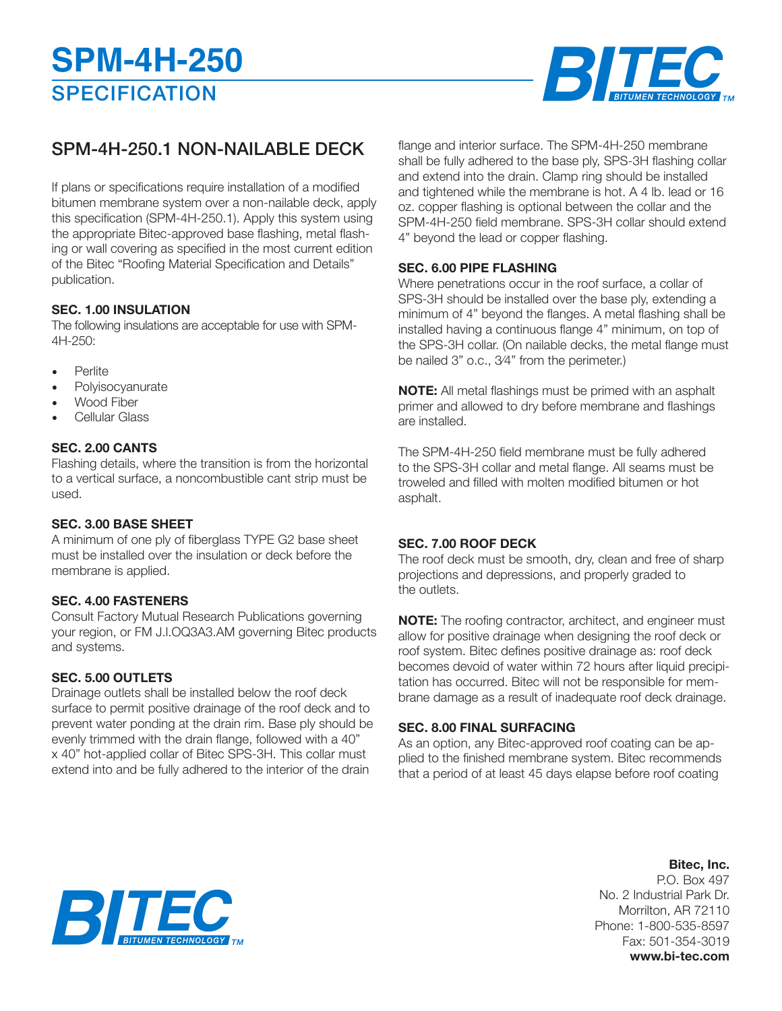

## SPM-4H-250.1 NON-NAILABLE DECK

If plans or specifications require installation of a modified bitumen membrane system over a non-nailable deck, apply this specification (SPM-4H-250.1). Apply this system using the appropriate Bitec-approved base flashing, metal flashing or wall covering as specified in the most current edition of the Bitec "Roofing Material Specification and Details" publication.

### **SEC. 1.00 INSULATION**

The following insulations are acceptable for use with SPM-4H-250:

- Perlite
- **Polyisocyanurate**
- Wood Fiber
- Cellular Glass

#### **SEC. 2.00 CANTS**

Flashing details, where the transition is from the horizontal to a vertical surface, a noncombustible cant strip must be used.

#### **SEC. 3.00 BASE SHEET**

A minimum of one ply of fiberglass TYPE G2 base sheet must be installed over the insulation or deck before the membrane is applied.

#### **SEC. 4.00 FASTENERS**

Consult Factory Mutual Research Publications governing your region, or FM J.l.OQ3A3.AM governing Bitec products and systems.

#### **SEC. 5.00 OUTLETS**

Drainage outlets shall be installed below the roof deck surface to permit positive drainage of the roof deck and to prevent water ponding at the drain rim. Base ply should be evenly trimmed with the drain flange, followed with a 40" x 40" hot-applied collar of Bitec SPS-3H. This collar must extend into and be fully adhered to the interior of the drain

flange and interior surface. The SPM-4H-250 membrane shall be fully adhered to the base ply, SPS-3H flashing collar and extend into the drain. Clamp ring should be installed and tightened while the membrane is hot. A 4 lb. lead or 16 oz. copper flashing is optional between the collar and the SPM-4H-250 field membrane. SPS-3H collar should extend 4" beyond the lead or copper flashing.

#### **SEC. 6.00 PIPE FLASHING**

Where penetrations occur in the roof surface, a collar of SPS-3H should be installed over the base ply, extending a minimum of 4" beyond the flanges. A metal flashing shall be installed having a continuous flange 4" minimum, on top of the SPS-3H collar. (On nailable decks, the metal flange must be nailed 3" o.c., 3⁄4" from the perimeter.)

**NOTE:** All metal flashings must be primed with an asphalt primer and allowed to dry before membrane and flashings are installed.

The SPM-4H-250 field membrane must be fully adhered to the SPS-3H collar and metal flange. All seams must be troweled and filled with molten modified bitumen or hot asphalt.

#### **SEC. 7.00 ROOF DECK**

The roof deck must be smooth, dry, clean and free of sharp projections and depressions, and properly graded to the outlets.

**NOTE:** The roofing contractor, architect, and engineer must allow for positive drainage when designing the roof deck or roof system. Bitec defines positive drainage as: roof deck becomes devoid of water within 72 hours after liquid precipitation has occurred. Bitec will not be responsible for membrane damage as a result of inadequate roof deck drainage.

#### **SEC. 8.00 FINAL SURFACING**

As an option, any Bitec-approved roof coating can be applied to the finished membrane system. Bitec recommends that a period of at least 45 days elapse before roof coating

#### **Bitec, Inc.**

P.O. Box 497 No. 2 Industrial Park Dr. Morrilton, AR 72110 Phone: 1-800-535-8597 Fax: 501-354-3019 **www.bi-tec.com**